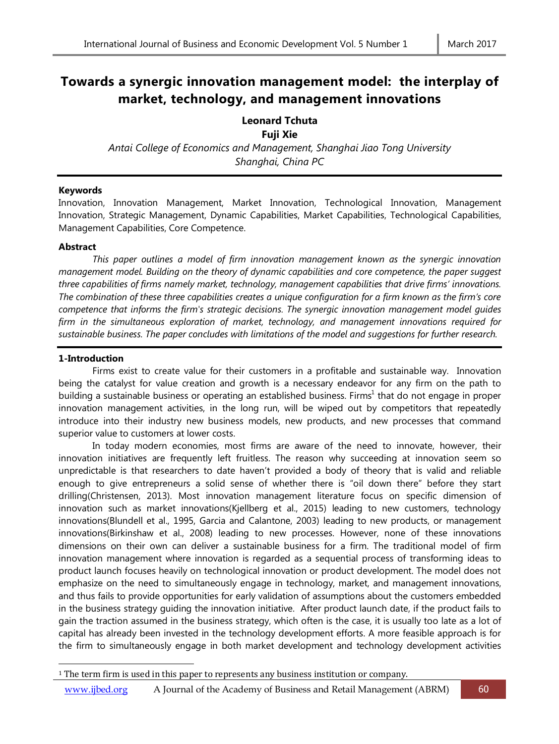# **Towards a synergic innovation management model: the interplay of market, technology, and management innovations**

# **Leonard Tchuta Fuji Xie**

*Antai College of Economics and Management, Shanghai Jiao Tong University Shanghai, China PC*

## **Keywords**

Innovation, Innovation Management, Market Innovation, Technological Innovation, Management Innovation, Strategic Management, Dynamic Capabilities, Market Capabilities, Technological Capabilities, Management Capabilities, Core Competence.

## **Abstract**

*This paper outlines a model of firm innovation management known as the synergic innovation management model. Building on the theory of dynamic capabilities and core competence, the paper suggest three capabilities of firms namely market, technology, management capabilities that drive firms' innovations. The combination of these three capabilities creates a unique configuration for a firm known as the firm's core competence that informs the firm's strategic decisions. The synergic innovation management model guides firm in the simultaneous exploration of market, technology, and management innovations required for sustainable business. The paper concludes with limitations of the model and suggestions for further research.* 

## **1-Introduction**

 $\overline{\phantom{a}}$ 

Firms exist to create value for their customers in a profitable and sustainable way. Innovation being the catalyst for value creation and growth is a necessary endeavor for any firm on the path to building a sustainable business or operating an established business. Firms<sup>1</sup> that do not engage in proper innovation management activities, in the long run, will be wiped out by competitors that repeatedly introduce into their industry new business models, new products, and new processes that command superior value to customers at lower costs.

In today modern economies, most firms are aware of the need to innovate, however, their innovation initiatives are frequently left fruitless. The reason why succeeding at innovation seem so unpredictable is that researchers to date haven't provided a body of theory that is valid and reliable enough to give entrepreneurs a solid sense of whether there is "oil down there" before they start drilling(Christensen, 2013). Most innovation management literature focus on specific dimension of innovation such as market innovations(Kjellberg et al., 2015) leading to new customers, technology innovations(Blundell et al., 1995, Garcia and Calantone, 2003) leading to new products, or management innovations(Birkinshaw et al., 2008) leading to new processes. However, none of these innovations dimensions on their own can deliver a sustainable business for a firm. The traditional model of firm innovation management where innovation is regarded as a sequential process of transforming ideas to product launch focuses heavily on technological innovation or product development. The model does not emphasize on the need to simultaneously engage in technology, market, and management innovations, and thus fails to provide opportunities for early validation of assumptions about the customers embedded in the business strategy guiding the innovation initiative. After product launch date, if the product fails to gain the traction assumed in the business strategy, which often is the case, it is usually too late as a lot of capital has already been invested in the technology development efforts. A more feasible approach is for the firm to simultaneously engage in both market development and technology development activities

<sup>&</sup>lt;sup>1</sup> The term firm is used in this paper to represents any business institution or company.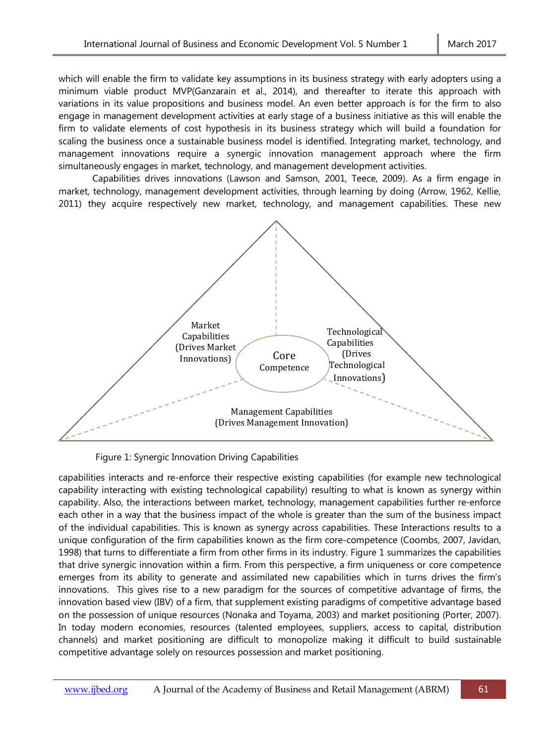which will enable the firm to validate key assumptions in its business strategy with early adopters using a minimum viable product MVP(Ganzarain et al., 2014), and thereafter to iterate this approach with variations in its value propositions and business model. An even better approach is for the firm to also engage in management development activities at early stage of a business initiative as this will enable the firm to validate elements of cost hypothesis in its business strategy which will build a foundation for scaling the business once a sustainable business model is identified. Integrating market, technology, and management innovations require a synergic innovation management approach where the firm simultaneously engages in market, technology, and management development activities.

Capabilities drives innovations (Lawson and Samson, 2001, Teece, 2009). As a firm engage in market, technology, management development activities, through learning by doing (Arrow, 1962, Kellie, 2011) they acquire respectively new market, technology, and management capabilities. These new



Figure 1: Synergic Innovation Driving Capabilities

capabilities interacts and re-enforce their respective existing capabilities (for example new technological capability interacting with existing technological capability) resulting to what is known as synergy within capability. Also, the interactions between market, technology, management capabilities further re-enforce each other in a way that the business impact of the whole is greater than the sum of the business impact of the individual capabilities. This is known as synergy across capabilities. These Interactions results to a unique configuration of the firm capabilities known as the firm core-competence (Coombs, 2007, Javidan, 1998) that turns to differentiate a firm from other firms in its industry. Figure 1 summarizes the capabilities that drive synergic innovation within a firm. From this perspective, a firm uniqueness or core competence emerges from its ability to generate and assimilated new capabilities which in turns drives the firm's innovations. This gives rise to a new paradigm for the sources of competitive advantage of firms, the innovation based view (IBV) of a firm, that supplement existing paradigms of competitive advantage based on the possession of unique resources (Nonaka and Toyama, 2003) and market positioning (Porter, 2007). In today modern economies, resources (talented employees, suppliers, access to capital, distribution channels) and market positioning are difficult to monopolize making it difficult to build sustainable competitive advantage solely on resources possession and market positioning.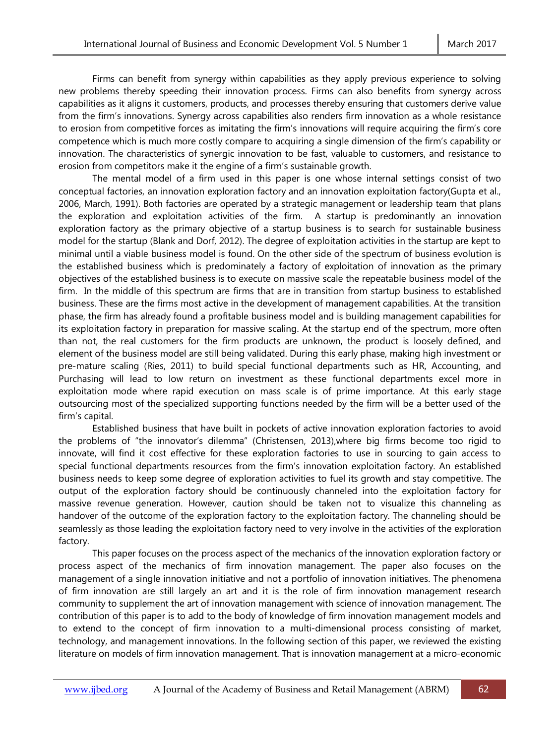Firms can benefit from synergy within capabilities as they apply previous experience to solving new problems thereby speeding their innovation process. Firms can also benefits from synergy across capabilities as it aligns it customers, products, and processes thereby ensuring that customers derive value from the firm's innovations. Synergy across capabilities also renders firm innovation as a whole resistance to erosion from competitive forces as imitating the firm's innovations will require acquiring the firm's core competence which is much more costly compare to acquiring a single dimension of the firm's capability or innovation. The characteristics of synergic innovation to be fast, valuable to customers, and resistance to erosion from competitors make it the engine of a firm's sustainable growth.

The mental model of a firm used in this paper is one whose internal settings consist of two conceptual factories, an innovation exploration factory and an innovation exploitation factory(Gupta et al., 2006, March, 1991). Both factories are operated by a strategic management or leadership team that plans the exploration and exploitation activities of the firm. A startup is predominantly an innovation exploration factory as the primary objective of a startup business is to search for sustainable business model for the startup (Blank and Dorf, 2012). The degree of exploitation activities in the startup are kept to minimal until a viable business model is found. On the other side of the spectrum of business evolution is the established business which is predominately a factory of exploitation of innovation as the primary objectives of the established business is to execute on massive scale the repeatable business model of the firm. In the middle of this spectrum are firms that are in transition from startup business to established business. These are the firms most active in the development of management capabilities. At the transition phase, the firm has already found a profitable business model and is building management capabilities for its exploitation factory in preparation for massive scaling. At the startup end of the spectrum, more often than not, the real customers for the firm products are unknown, the product is loosely defined, and element of the business model are still being validated. During this early phase, making high investment or pre-mature scaling (Ries, 2011) to build special functional departments such as HR, Accounting, and Purchasing will lead to low return on investment as these functional departments excel more in exploitation mode where rapid execution on mass scale is of prime importance. At this early stage outsourcing most of the specialized supporting functions needed by the firm will be a better used of the firm's capital.

Established business that have built in pockets of active innovation exploration factories to avoid the problems of "the innovator's dilemma" (Christensen, 2013),where big firms become too rigid to innovate, will find it cost effective for these exploration factories to use in sourcing to gain access to special functional departments resources from the firm's innovation exploitation factory. An established business needs to keep some degree of exploration activities to fuel its growth and stay competitive. The output of the exploration factory should be continuously channeled into the exploitation factory for massive revenue generation. However, caution should be taken not to visualize this channeling as handover of the outcome of the exploration factory to the exploitation factory. The channeling should be seamlessly as those leading the exploitation factory need to very involve in the activities of the exploration factory.

This paper focuses on the process aspect of the mechanics of the innovation exploration factory or process aspect of the mechanics of firm innovation management. The paper also focuses on the management of a single innovation initiative and not a portfolio of innovation initiatives. The phenomena of firm innovation are still largely an art and it is the role of firm innovation management research community to supplement the art of innovation management with science of innovation management. The contribution of this paper is to add to the body of knowledge of firm innovation management models and to extend to the concept of firm innovation to a multi-dimensional process consisting of market, technology, and management innovations. In the following section of this paper, we reviewed the existing literature on models of firm innovation management. That is innovation management at a micro-economic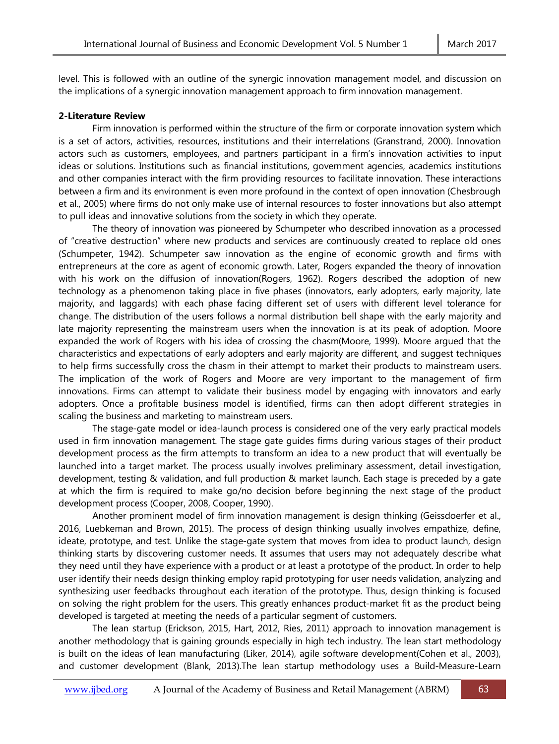level. This is followed with an outline of the synergic innovation management model, and discussion on the implications of a synergic innovation management approach to firm innovation management.

## **2-Literature Review**

Firm innovation is performed within the structure of the firm or corporate innovation system which is a set of actors, activities, resources, institutions and their interrelations (Granstrand, 2000). Innovation actors such as customers, employees, and partners participant in a firm's innovation activities to input ideas or solutions. Institutions such as financial institutions, government agencies, academics institutions and other companies interact with the firm providing resources to facilitate innovation. These interactions between a firm and its environment is even more profound in the context of open innovation (Chesbrough et al., 2005) where firms do not only make use of internal resources to foster innovations but also attempt to pull ideas and innovative solutions from the society in which they operate.

The theory of innovation was pioneered by Schumpeter who described innovation as a processed of "creative destruction" where new products and services are continuously created to replace old ones (Schumpeter, 1942). Schumpeter saw innovation as the engine of economic growth and firms with entrepreneurs at the core as agent of economic growth. Later, Rogers expanded the theory of innovation with his work on the diffusion of innovation(Rogers, 1962). Rogers described the adoption of new technology as a phenomenon taking place in five phases (innovators, early adopters, early majority, late majority, and laggards) with each phase facing different set of users with different level tolerance for change. The distribution of the users follows a normal distribution bell shape with the early majority and late majority representing the mainstream users when the innovation is at its peak of adoption. Moore expanded the work of Rogers with his idea of crossing the chasm(Moore, 1999). Moore argued that the characteristics and expectations of early adopters and early majority are different, and suggest techniques to help firms successfully cross the chasm in their attempt to market their products to mainstream users. The implication of the work of Rogers and Moore are very important to the management of firm innovations. Firms can attempt to validate their business model by engaging with innovators and early adopters. Once a profitable business model is identified, firms can then adopt different strategies in scaling the business and marketing to mainstream users.

The stage-gate model or idea-launch process is considered one of the very early practical models used in firm innovation management. The stage gate guides firms during various stages of their product development process as the firm attempts to transform an idea to a new product that will eventually be launched into a target market. The process usually involves preliminary assessment, detail investigation, development, testing & validation, and full production & market launch. Each stage is preceded by a gate at which the firm is required to make go/no decision before beginning the next stage of the product development process (Cooper, 2008, Cooper, 1990).

Another prominent model of firm innovation management is design thinking (Geissdoerfer et al., 2016, Luebkeman and Brown, 2015). The process of design thinking usually involves empathize, define, ideate, prototype, and test. Unlike the stage-gate system that moves from idea to product launch, design thinking starts by discovering customer needs. It assumes that users may not adequately describe what they need until they have experience with a product or at least a prototype of the product. In order to help user identify their needs design thinking employ rapid prototyping for user needs validation, analyzing and synthesizing user feedbacks throughout each iteration of the prototype. Thus, design thinking is focused on solving the right problem for the users. This greatly enhances product-market fit as the product being developed is targeted at meeting the needs of a particular segment of customers.

The lean startup (Erickson, 2015, Hart, 2012, Ries, 2011) approach to innovation management is another methodology that is gaining grounds especially in high tech industry. The lean start methodology is built on the ideas of lean manufacturing (Liker, 2014), agile software development(Cohen et al., 2003), and customer development (Blank, 2013).The lean startup methodology uses a Build-Measure-Learn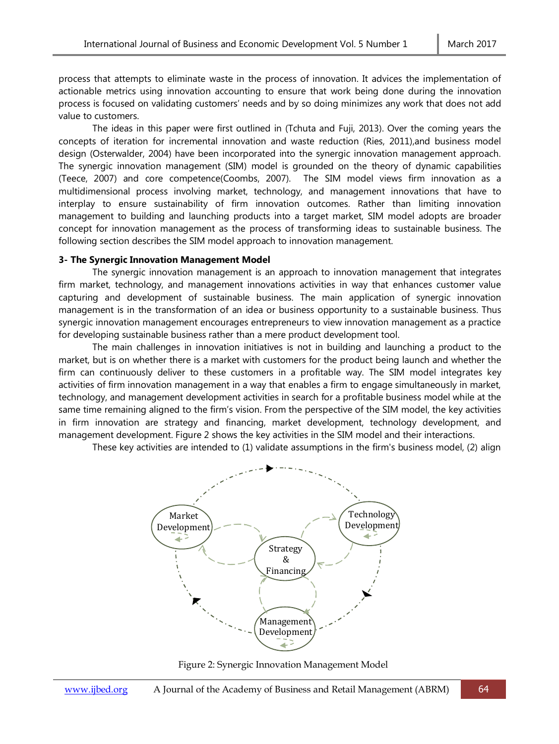process that attempts to eliminate waste in the process of innovation. It advices the implementation of actionable metrics using innovation accounting to ensure that work being done during the innovation process is focused on validating customers' needs and by so doing minimizes any work that does not add value to customers.

The ideas in this paper were first outlined in (Tchuta and Fuji, 2013). Over the coming years the concepts of iteration for incremental innovation and waste reduction (Ries, 2011),and business model design (Osterwalder, 2004) have been incorporated into the synergic innovation management approach. The synergic innovation management (SIM) model is grounded on the theory of dynamic capabilities (Teece, 2007) and core competence(Coombs, 2007). The SIM model views firm innovation as a multidimensional process involving market, technology, and management innovations that have to interplay to ensure sustainability of firm innovation outcomes. Rather than limiting innovation management to building and launching products into a target market, SIM model adopts are broader concept for innovation management as the process of transforming ideas to sustainable business. The following section describes the SIM model approach to innovation management.

#### **3- The Synergic Innovation Management Model**

The synergic innovation management is an approach to innovation management that integrates firm market, technology, and management innovations activities in way that enhances customer value capturing and development of sustainable business. The main application of synergic innovation management is in the transformation of an idea or business opportunity to a sustainable business. Thus synergic innovation management encourages entrepreneurs to view innovation management as a practice for developing sustainable business rather than a mere product development tool.

The main challenges in innovation initiatives is not in building and launching a product to the market, but is on whether there is a market with customers for the product being launch and whether the firm can continuously deliver to these customers in a profitable way. The SIM model integrates key activities of firm innovation management in a way that enables a firm to engage simultaneously in market, technology, and management development activities in search for a profitable business model while at the same time remaining aligned to the firm's vision. From the perspective of the SIM model, the key activities in firm innovation are strategy and financing, market development, technology development, and management development. Figure 2 shows the key activities in the SIM model and their interactions.

These key activities are intended to (1) validate assumptions in the firm's business model, (2) align



Figure 2: Synergic Innovation Management Model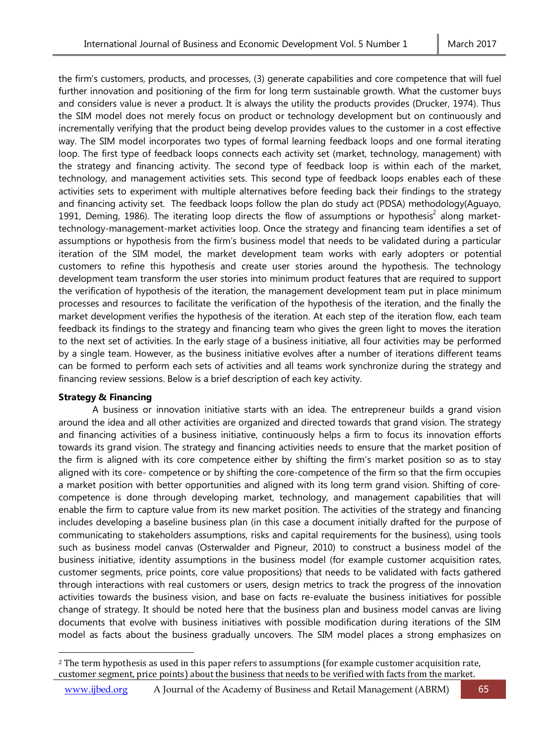the firm's customers, products, and processes, (3) generate capabilities and core competence that will fuel further innovation and positioning of the firm for long term sustainable growth. What the customer buys and considers value is never a product. It is always the utility the products provides (Drucker, 1974). Thus the SIM model does not merely focus on product or technology development but on continuously and incrementally verifying that the product being develop provides values to the customer in a cost effective way. The SIM model incorporates two types of formal learning feedback loops and one formal iterating loop. The first type of feedback loops connects each activity set (market, technology, management) with the strategy and financing activity. The second type of feedback loop is within each of the market, technology, and management activities sets. This second type of feedback loops enables each of these activities sets to experiment with multiple alternatives before feeding back their findings to the strategy and financing activity set. The feedback loops follow the plan do study act (PDSA) methodology(Aguayo, 1991, Deming, 1986). The iterating loop directs the flow of assumptions or hypothesis<sup>2</sup> along markettechnology-management-market activities loop. Once the strategy and financing team identifies a set of assumptions or hypothesis from the firm's business model that needs to be validated during a particular iteration of the SIM model, the market development team works with early adopters or potential customers to refine this hypothesis and create user stories around the hypothesis. The technology development team transform the user stories into minimum product features that are required to support the verification of hypothesis of the iteration, the management development team put in place minimum processes and resources to facilitate the verification of the hypothesis of the iteration, and the finally the market development verifies the hypothesis of the iteration. At each step of the iteration flow, each team feedback its findings to the strategy and financing team who gives the green light to moves the iteration to the next set of activities. In the early stage of a business initiative, all four activities may be performed by a single team. However, as the business initiative evolves after a number of iterations different teams can be formed to perform each sets of activities and all teams work synchronize during the strategy and financing review sessions. Below is a brief description of each key activity.

## **Strategy & Financing**

l

A business or innovation initiative starts with an idea. The entrepreneur builds a grand vision around the idea and all other activities are organized and directed towards that grand vision. The strategy and financing activities of a business initiative, continuously helps a firm to focus its innovation efforts towards its grand vision. The strategy and financing activities needs to ensure that the market position of the firm is aligned with its core competence either by shifting the firm's market position so as to stay aligned with its core- competence or by shifting the core-competence of the firm so that the firm occupies a market position with better opportunities and aligned with its long term grand vision. Shifting of corecompetence is done through developing market, technology, and management capabilities that will enable the firm to capture value from its new market position. The activities of the strategy and financing includes developing a baseline business plan (in this case a document initially drafted for the purpose of communicating to stakeholders assumptions, risks and capital requirements for the business), using tools such as business model canvas (Osterwalder and Pigneur, 2010) to construct a business model of the business initiative, identity assumptions in the business model (for example customer acquisition rates, customer segments, price points, core value propositions) that needs to be validated with facts gathered through interactions with real customers or users, design metrics to track the progress of the innovation activities towards the business vision, and base on facts re-evaluate the business initiatives for possible change of strategy. It should be noted here that the business plan and business model canvas are living documents that evolve with business initiatives with possible modification during iterations of the SIM model as facts about the business gradually uncovers. The SIM model places a strong emphasizes on

<sup>&</sup>lt;sup>2</sup> The term hypothesis as used in this paper refers to assumptions (for example customer acquisition rate, customer segment, price points) about the business that needs to be verified with facts from the market.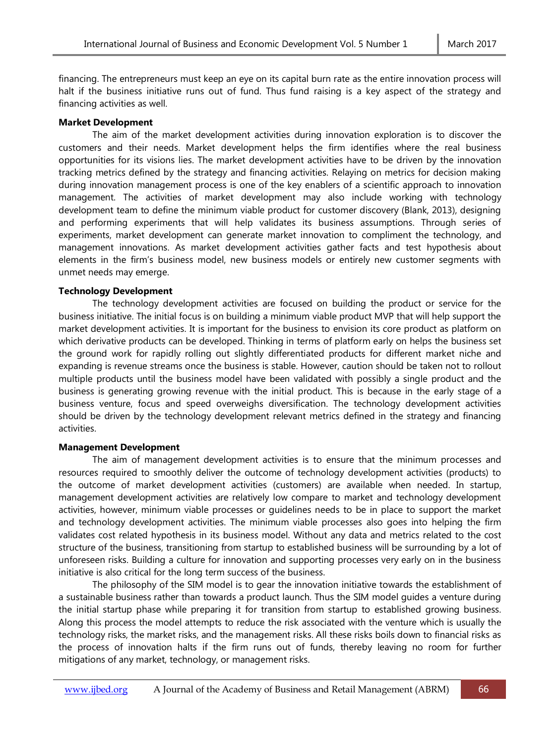financing. The entrepreneurs must keep an eye on its capital burn rate as the entire innovation process will halt if the business initiative runs out of fund. Thus fund raising is a key aspect of the strategy and financing activities as well.

#### **Market Development**

The aim of the market development activities during innovation exploration is to discover the customers and their needs. Market development helps the firm identifies where the real business opportunities for its visions lies. The market development activities have to be driven by the innovation tracking metrics defined by the strategy and financing activities. Relaying on metrics for decision making during innovation management process is one of the key enablers of a scientific approach to innovation management. The activities of market development may also include working with technology development team to define the minimum viable product for customer discovery (Blank, 2013), designing and performing experiments that will help validates its business assumptions. Through series of experiments, market development can generate market innovation to compliment the technology, and management innovations. As market development activities gather facts and test hypothesis about elements in the firm's business model, new business models or entirely new customer segments with unmet needs may emerge.

## **Technology Development**

The technology development activities are focused on building the product or service for the business initiative. The initial focus is on building a minimum viable product MVP that will help support the market development activities. It is important for the business to envision its core product as platform on which derivative products can be developed. Thinking in terms of platform early on helps the business set the ground work for rapidly rolling out slightly differentiated products for different market niche and expanding is revenue streams once the business is stable. However, caution should be taken not to rollout multiple products until the business model have been validated with possibly a single product and the business is generating growing revenue with the initial product. This is because in the early stage of a business venture, focus and speed overweighs diversification. The technology development activities should be driven by the technology development relevant metrics defined in the strategy and financing activities.

## **Management Development**

The aim of management development activities is to ensure that the minimum processes and resources required to smoothly deliver the outcome of technology development activities (products) to the outcome of market development activities (customers) are available when needed. In startup, management development activities are relatively low compare to market and technology development activities, however, minimum viable processes or guidelines needs to be in place to support the market and technology development activities. The minimum viable processes also goes into helping the firm validates cost related hypothesis in its business model. Without any data and metrics related to the cost structure of the business, transitioning from startup to established business will be surrounding by a lot of unforeseen risks. Building a culture for innovation and supporting processes very early on in the business initiative is also critical for the long term success of the business.

The philosophy of the SIM model is to gear the innovation initiative towards the establishment of a sustainable business rather than towards a product launch. Thus the SIM model guides a venture during the initial startup phase while preparing it for transition from startup to established growing business. Along this process the model attempts to reduce the risk associated with the venture which is usually the technology risks, the market risks, and the management risks. All these risks boils down to financial risks as the process of innovation halts if the firm runs out of funds, thereby leaving no room for further mitigations of any market, technology, or management risks.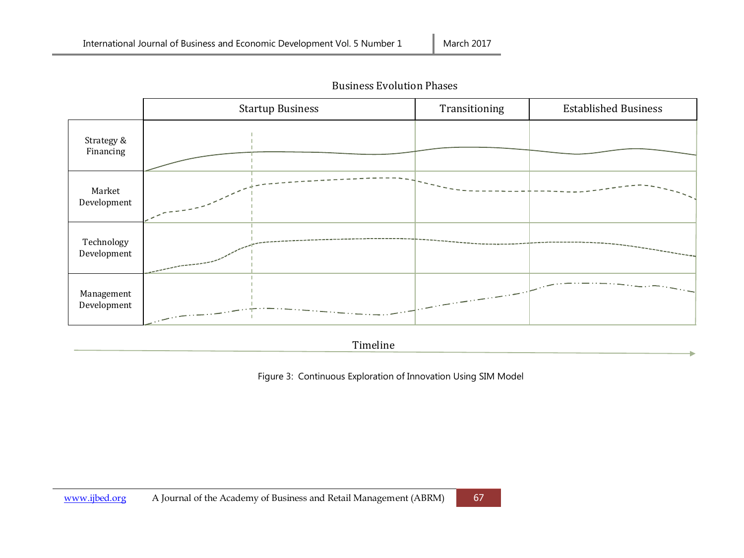

Business Evolution Phases

Timeline

Figure 3: Continuous Exploration of Innovation Using SIM Model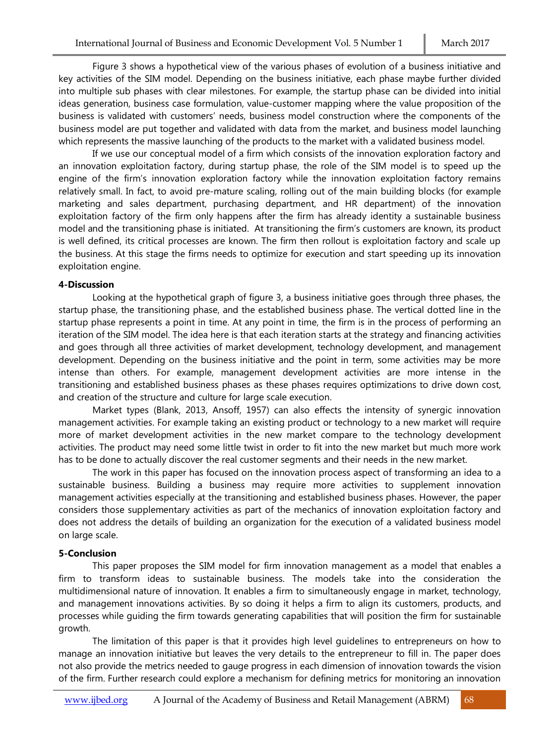Figure 3 shows a hypothetical view of the various phases of evolution of a business initiative and key activities of the SIM model. Depending on the business initiative, each phase maybe further divided into multiple sub phases with clear milestones. For example, the startup phase can be divided into initial ideas generation, business case formulation, value-customer mapping where the value proposition of the business is validated with customers' needs, business model construction where the components of the business model are put together and validated with data from the market, and business model launching which represents the massive launching of the products to the market with a validated business model.

If we use our conceptual model of a firm which consists of the innovation exploration factory and an innovation exploitation factory, during startup phase, the role of the SIM model is to speed up the engine of the firm's innovation exploration factory while the innovation exploitation factory remains relatively small. In fact, to avoid pre-mature scaling, rolling out of the main building blocks (for example marketing and sales department, purchasing department, and HR department) of the innovation exploitation factory of the firm only happens after the firm has already identity a sustainable business model and the transitioning phase is initiated. At transitioning the firm's customers are known, its product is well defined, its critical processes are known. The firm then rollout is exploitation factory and scale up the business. At this stage the firms needs to optimize for execution and start speeding up its innovation exploitation engine.

#### **4-Discussion**

Looking at the hypothetical graph of figure 3, a business initiative goes through three phases, the startup phase, the transitioning phase, and the established business phase. The vertical dotted line in the startup phase represents a point in time. At any point in time, the firm is in the process of performing an iteration of the SIM model. The idea here is that each iteration starts at the strategy and financing activities and goes through all three activities of market development, technology development, and management development. Depending on the business initiative and the point in term, some activities may be more intense than others. For example, management development activities are more intense in the transitioning and established business phases as these phases requires optimizations to drive down cost, and creation of the structure and culture for large scale execution.

Market types (Blank, 2013, Ansoff, 1957) can also effects the intensity of synergic innovation management activities. For example taking an existing product or technology to a new market will require more of market development activities in the new market compare to the technology development activities. The product may need some little twist in order to fit into the new market but much more work has to be done to actually discover the real customer segments and their needs in the new market.

The work in this paper has focused on the innovation process aspect of transforming an idea to a sustainable business. Building a business may require more activities to supplement innovation management activities especially at the transitioning and established business phases. However, the paper considers those supplementary activities as part of the mechanics of innovation exploitation factory and does not address the details of building an organization for the execution of a validated business model on large scale.

## **5-Conclusion**

This paper proposes the SIM model for firm innovation management as a model that enables a firm to transform ideas to sustainable business. The models take into the consideration the multidimensional nature of innovation. It enables a firm to simultaneously engage in market, technology, and management innovations activities. By so doing it helps a firm to align its customers, products, and processes while guiding the firm towards generating capabilities that will position the firm for sustainable growth.

The limitation of this paper is that it provides high level guidelines to entrepreneurs on how to manage an innovation initiative but leaves the very details to the entrepreneur to fill in. The paper does not also provide the metrics needed to gauge progress in each dimension of innovation towards the vision of the firm. Further research could explore a mechanism for defining metrics for monitoring an innovation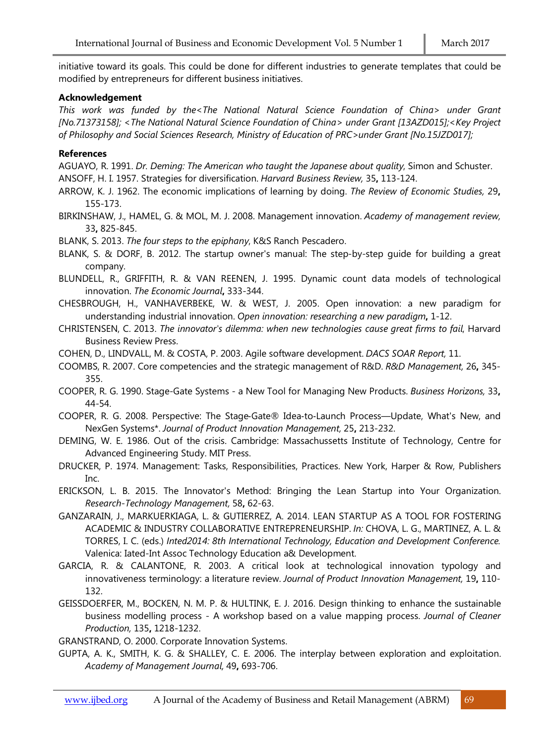initiative toward its goals. This could be done for different industries to generate templates that could be modified by entrepreneurs for different business initiatives.

## **Acknowledgement**

*This work was funded by the<The National Natural Science Foundation of China> under Grant [No.71373158]; <The National Natural Science Foundation of China> under Grant [13AZD015];<Key Project of Philosophy and Social Sciences Research, Ministry of Education of PRC>under Grant [No.15JZD017];*

# **References**

AGUAYO, R. 1991. *Dr. Deming: The American who taught the Japanese about quality*, Simon and Schuster.

ANSOFF, H. I. 1957. Strategies for diversification. *Harvard Business Review,* 35**,** 113-124.

- ARROW, K. J. 1962. The economic implications of learning by doing. *The Review of Economic Studies,* 29**,** 155-173.
- BIRKINSHAW, J., HAMEL, G. & MOL, M. J. 2008. Management innovation. *Academy of management review,* 33**,** 825-845.

BLANK, S. 2013. *The four steps to the epiphany*, K&S Ranch Pescadero.

- BLANK, S. & DORF, B. 2012. The startup owner's manual: The step-by-step guide for building a great company.
- BLUNDELL, R., GRIFFITH, R. & VAN REENEN, J. 1995. Dynamic count data models of technological innovation. *The Economic Journal***,** 333-344.
- CHESBROUGH, H., VANHAVERBEKE, W. & WEST, J. 2005. Open innovation: a new paradigm for understanding industrial innovation. *Open innovation: researching a new paradigm***,** 1-12.
- CHRISTENSEN, C. 2013. *The innovator's dilemma: when new technologies cause great firms to fail*, Harvard Business Review Press.
- COHEN, D., LINDVALL, M. & COSTA, P. 2003. Agile software development. *DACS SOAR Report,* 11.
- COOMBS, R. 2007. Core competencies and the strategic management of R&D. *R&D Management,* 26**,** 345- 355.
- COOPER, R. G. 1990. Stage-Gate Systems a New Tool for Managing New Products. *Business Horizons,* 33**,** 44-54.
- COOPER, R. G. 2008. Perspective: The Stage-Gate® Idea-to-Launch Process—Update, What's New, and NexGen Systems\*. *Journal of Product Innovation Management,* 25**,** 213-232.
- DEMING, W. E. 1986. Out of the crisis. Cambridge: Massachussetts Institute of Technology, Centre for Advanced Engineering Study. MIT Press.
- DRUCKER, P. 1974. Management: Tasks, Responsibilities, Practices. New York, Harper & Row, Publishers Inc.
- ERICKSON, L. B. 2015. The Innovator's Method: Bringing the Lean Startup into Your Organization. *Research-Technology Management,* 58**,** 62-63.
- GANZARAIN, J., MARKUERKIAGA, L. & GUTIERREZ, A. 2014. LEAN STARTUP AS A TOOL FOR FOSTERING ACADEMIC & INDUSTRY COLLABORATIVE ENTREPRENEURSHIP. *In:* CHOVA, L. G., MARTINEZ, A. L. & TORRES, I. C. (eds.) *Inted2014: 8th International Technology, Education and Development Conference.* Valenica: Iated-Int Assoc Technology Education a& Development.
- GARCIA, R. & CALANTONE, R. 2003. A critical look at technological innovation typology and innovativeness terminology: a literature review. *Journal of Product Innovation Management,* 19**,** 110- 132.
- GEISSDOERFER, M., BOCKEN, N. M. P. & HULTINK, E. J. 2016. Design thinking to enhance the sustainable business modelling process - A workshop based on a value mapping process. *Journal of Cleaner Production,* 135**,** 1218-1232.

GRANSTRAND, O. 2000. Corporate Innovation Systems.

GUPTA, A. K., SMITH, K. G. & SHALLEY, C. E. 2006. The interplay between exploration and exploitation. *Academy of Management Journal,* 49**,** 693-706.